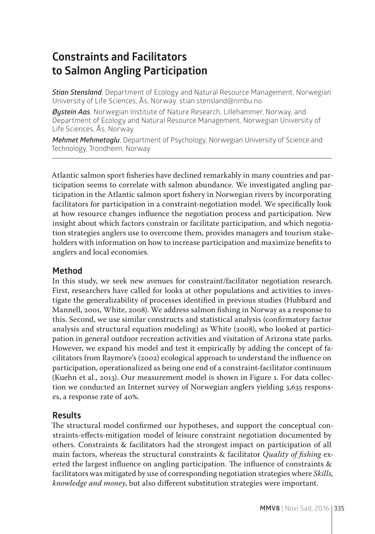# **Constraints and Facilitators to Salmon Angling Participation**

*Stian Stensland*, Department of Ecology and Natural Resource Management, Norwegian University of Life Sciences, Ås, Norway. stian.stensland@nmbu.no

*Øystein Aas*, Norwegian Institute of Nature Research, Lillehammer, Norway, and Department of Ecology and Natural Resource Management, Norwegian University of Life Sciences, Ås, Norway.

*Mehmet Mehmetoglu*, Department of Psychology, Norwegian University of Science and Technology, Trondheim, Norway

Atlantic salmon sport fisheries have declined remarkably in many countries and participation seems to correlate with salmon abundance. We investigated angling participation in the Atlantic salmon sport fishery in Norwegian rivers by incorporating facilitators for participation in a constraint-negotiation model. We specifically look at how resource changes influence the negotiation process and participation. New insight about which factors constrain or facilitate participation, and which negotiation strategies anglers use to overcome them, provides managers and tourism stakeholders with information on how to increase participation and maximize benefits to anglers and local economies.

### **Method**

In this study, we seek new avenues for constraint/facilitator negotiation research. First, researchers have called for looks at other populations and activities to investigate the generalizability of processes identified in previous studies (Hubbard and Mannell, 2001, White, 2008). We address salmon fishing in Norway as a response to this. Second, we use similar constructs and statistical analysis (confirmatory factor analysis and structural equation modeling) as White (2008), who looked at participation in general outdoor recreation activities and visitation of Arizona state parks. However, we expand his model and test it empirically by adding the concept of facilitators from Raymore's (2002) ecological approach to understand the influence on participation, operationalized as being one end of a constraint-facilitator continuum (Kuehn et al., 2013). Our measurement model is shown in Figure 1. For data collection we conducted an Internet survey of Norwegian anglers yielding 3,635 responses, a response rate of 40%.

## **Results**

The structural model confirmed our hypotheses, and support the conceptual constraints-effects-mitigation model of leisure constraint negotiation documented by others. Constraints & facilitators had the strongest impact on participation of all main factors, whereas the structural constraints & facilitator *Quality of fishing* exerted the largest influence on angling participation. The influence of constraints & facilitators was mitigated by use of corresponding negotiation strategies where *Skills, knowledge and money*, but also different substitution strategies were important.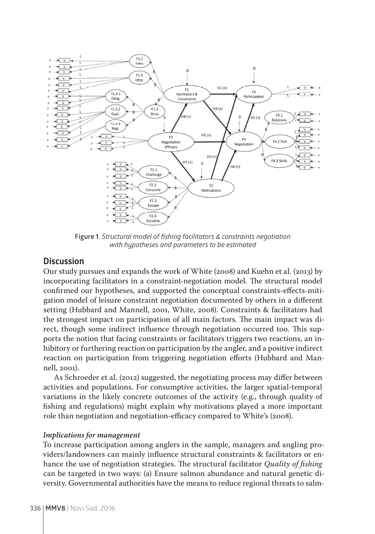

**Figure 1.** *Structural model of fishing facilitators & constraints negotiation with hypotheses and parameters to be estimated*

### **Discussion**

Our study pursues and expands the work of White (2008) and Kuehn et al. (2013) by incorporating facilitators in a constraint-negotiation model. The structural model confirmed our hypotheses, and supported the conceptual constraints-effects-mitigation model of leisure constraint negotiation documented by others in a different setting (Hubbard and Mannell, 2001, White, 2008). Constraints & facilitators had the strongest impact on participation of all main factors. The main impact was direct, though some indirect influence through negotiation occurred too. This supports the notion that facing constraints or facilitators triggers two reactions, an inhibitory or furthering reaction on participation by the angler, and a positive indirect reaction on participation from triggering negotiation efforts (Hubbard and Mannell, 2001).

As Schroeder et al. (2012) suggested, the negotiating process may differ between activities and populations. For consumptive activities, the larger spatial-temporal variations in the likely concrete outcomes of the activity (e.g., through quality of fishing and regulations) might explain why motivations played a more important role than negotiation and negotiation-efficacy compared to White's (2008).

#### *Implications for management*

To increase participation among anglers in the sample, managers and angling providers/landowners can mainly influence structural constraints & facilitators or enhance the use of negotiation strategies. The structural facilitator *Quality of fishing* can be targeted in two ways: (a) Ensure salmon abundance and natural genetic diversity. Governmental authorities have the means to reduce regional threats to salm